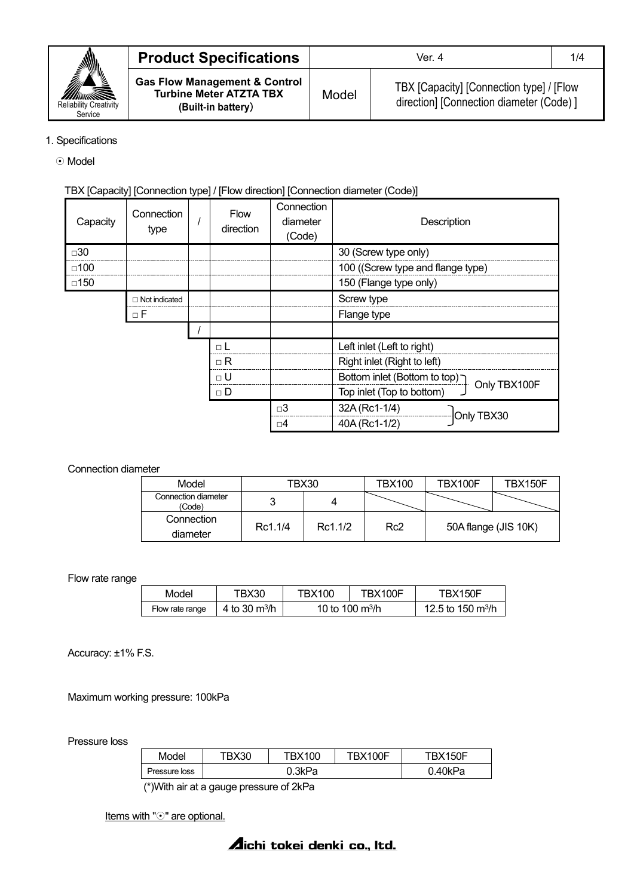

| <b>Product Specifications</b>                                                                    | Ver. 4 |                                                                                      |  |
|--------------------------------------------------------------------------------------------------|--------|--------------------------------------------------------------------------------------|--|
| <b>Gas Flow Management &amp; Control</b><br><b>Turbine Meter ATZTA TBX</b><br>(Built-in battery) | Model  | TBX [Capacity] [Connection type] / [Flow<br>direction] [Connection diameter (Code) ] |  |

### 1. Specifications

⊙ Model

## TBX [Capacity] [Connection type] / [Flow direction] [Connection diameter (Code)]

| Capacity      | Connection<br>type | <b>Flow</b><br>direction | Connection<br>diameter<br>(Code) | Description                                            |
|---------------|--------------------|--------------------------|----------------------------------|--------------------------------------------------------|
| □30           |                    |                          |                                  | 30 (Screw type only)                                   |
| $\square$ 100 |                    |                          |                                  | 100 ((Screw type and flange type)                      |
| □150          |                    |                          |                                  | 150 (Flange type only)                                 |
|               | □ Not indicated    |                          |                                  | Screw type                                             |
|               | $\Box$ F           |                          |                                  | Flange type                                            |
|               |                    |                          |                                  |                                                        |
|               |                    | $\Box$ L                 |                                  | Left inlet (Left to right)                             |
|               |                    | $\sqcap$ R               |                                  | Right inlet (Right to left)                            |
|               |                    | $\sqcap$ U               |                                  | Fottom inlet (Bottom to top) $\bigcap$<br>Only TBX100F |
|               |                    | $\sqcap$ D               |                                  | Top inlet (Top to bottom)                              |
|               |                    |                          | $\square$ 3                      | 32A (Rc1-1/4)                                          |
|               |                    |                          | ⊡4                               | Only TBX30<br>40A (Rc1-1/2)                            |
|               |                    |                          |                                  |                                                        |

### Connection diameter

| Model                         | TBX30   |         | TBX100          | TBX100F              | TBX150F |
|-------------------------------|---------|---------|-----------------|----------------------|---------|
| Connection diameter<br>(Code) |         |         |                 |                      |         |
| Connection                    | Rc1.1/4 | Rc1.1/2 | Rc <sub>2</sub> | 50A flange (JIS 10K) |         |
| diameter                      |         |         |                 |                      |         |

Flow rate range

| Model           | TBX30                             | TBX100                | TBX100F | TRX150F                       |
|-----------------|-----------------------------------|-----------------------|---------|-------------------------------|
| Flow rate range | 4 to 30 $\mathrm{m}^3/\mathrm{h}$ | 10 to 100 $\rm m^3/h$ |         | 12.5 to 150 m <sup>3</sup> /h |

Accuracy: ±1% F.S.

Maximum working pressure: 100kPa

Pressure loss

| Model         | TBX30  | TBX100 | BX100F | TBX150F |  |
|---------------|--------|--------|--------|---------|--|
| Pressure loss | 0.3kPa |        |        | 0.40kPa |  |

(\*)With air at a gauge pressure of 2kPa

Items with " $\odot$ " are optional.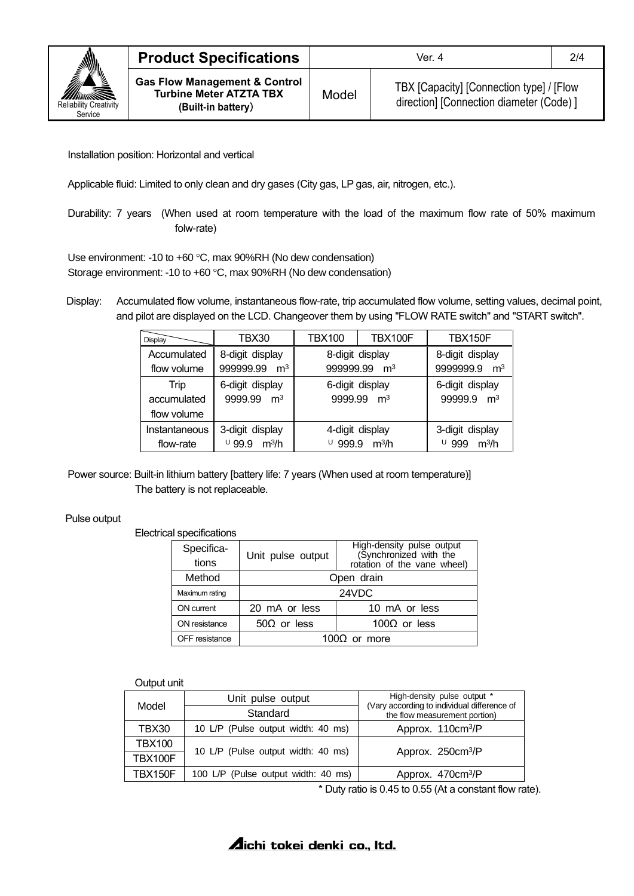

Model TBX [Capacity] [Connection type] / [Flow direction] [Connection diameter (Code) ]

Installation position: Horizontal and vertical

Applicable fluid: Limited to only clean and dry gases (City gas, LP gas, air, nitrogen, etc.).

Durability: 7 years (When used at room temperature with the load of the maximum flow rate of 50% maximum folw-rate)

Use environment: -10 to +60 °C, max 90%RH (No dew condensation) Storage environment: -10 to +60 °C, max 90%RH (No dew condensation)

Display: Accumulated flow volume, instantaneous flow-rate, trip accumulated flow volume, setting values, decimal point, and pilot are displayed on the LCD. Changeover them by using "FLOW RATE switch" and "START switch".

| <b>Display</b> | TBX30                       | <b>TBX100</b>              | TBX100F         | <b>TBX150F</b>                |
|----------------|-----------------------------|----------------------------|-----------------|-------------------------------|
| Accumulated    | 8-digit display             | 8-digit display            |                 | 8-digit display               |
| flow volume    | 999999.99 m <sup>3</sup>    | 999999.99 m <sup>3</sup>   |                 | 9999999.9<br>$\mathsf{m}^3$   |
| Trip           | 6-digit display             | 6-digit display            |                 | 6-digit display               |
| accumulated    | 9999.99 m <sup>3</sup>      | 9999.99 m <sup>3</sup>     |                 | 99999.9 m <sup>3</sup>        |
| flow volume    |                             |                            |                 |                               |
| Instantaneous  | 3-digit display             |                            | 4-digit display | 3-digit display               |
| flow-rate      | 0.99.9<br>m <sup>3</sup> /h | 999.9<br>m <sup>3</sup> /h |                 | U<br>999<br>m <sup>3</sup> /h |

Power source: Built-in lithium battery [battery life: 7 years (When used at room temperature)] The battery is not replaceable.

Pulse output

Electrical specifications

| Specifica-     | Unit pulse output                          | <b>High-density pulse output</b><br>(Synchronized with the |  |
|----------------|--------------------------------------------|------------------------------------------------------------|--|
| tions          |                                            | rotation of the vane wheel)                                |  |
| Method         | Open drain                                 |                                                            |  |
| Maximum rating | 24VDC                                      |                                                            |  |
| ON current     | 20 mA or less<br>10 mA or less             |                                                            |  |
| ON resistance  | 100 $\Omega$ or less<br>$50\Omega$ or less |                                                            |  |
| OFF resistance | 100 $\Omega$ or more                       |                                                            |  |

### Output unit

| Model   | Unit pulse output                   | High-density pulse output *<br>(Vary according to individual difference of<br>the flow measurement portion) |  |
|---------|-------------------------------------|-------------------------------------------------------------------------------------------------------------|--|
|         | Standard                            |                                                                                                             |  |
| TBX30   | 10 L/P (Pulse output width: 40 ms)  | Approx. 110cm <sup>3</sup> /P                                                                               |  |
| TBX100  |                                     |                                                                                                             |  |
| TBX100F | 10 L/P (Pulse output width: 40 ms)  | Approx. 250cm <sup>3</sup> /P                                                                               |  |
| TBX150F | 100 L/P (Pulse output width: 40 ms) | Approx. 470cm <sup>3</sup> /P                                                                               |  |

\* Duty ratio is 0.45 to 0.55 (At a constant flow rate).

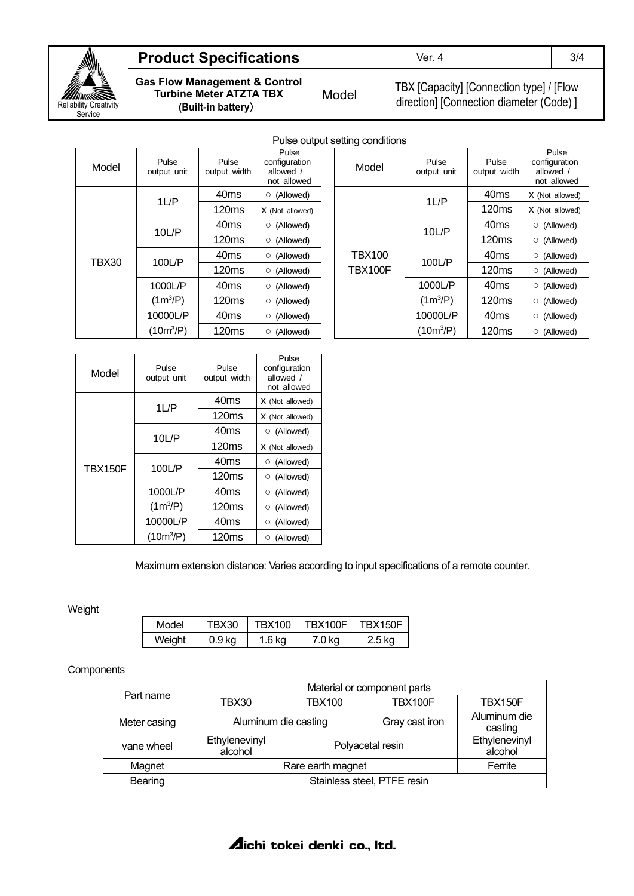

# **Product Specifications Ver. 4** 3/4

**Gas Flow Management & Control Turbine Meter ATZTA TBX (Built-in battery**)

Model TBX [Capacity] [Connection type] / [Flow direction] [Connection diameter (Code) ]

|              |                      |                       | Puise outp                                         |
|--------------|----------------------|-----------------------|----------------------------------------------------|
| Model        | Pulse<br>output unit | Pulse<br>output width | Pulse<br>configuration<br>allowed /<br>not allowed |
|              | $1 \cup P$           | 40 <sub>ms</sub>      | (Allowed)<br>$\circ$                               |
|              |                      | 120ms                 | X (Not allowed)                                    |
| <b>TBX30</b> | 10LP<br>100L/P       | 40 <sub>ms</sub>      | (Allowed)<br>O                                     |
|              |                      | 120ms                 | $\circ$ (Allowed)                                  |
|              |                      | 40 <sub>ms</sub>      | (Allowed)<br>O                                     |
|              |                      | 120ms                 | (Allowed)<br>O                                     |
|              | 1000L/P              | 40 <sub>ms</sub>      | (Allowed)<br>O                                     |
|              | $(1m^3/P)$           | 120ms                 | (Allowed)<br>$\circ$                               |
|              | 10000L/P             | 40 <sub>ms</sub>      | (Allowed)<br>O                                     |
|              | $(10m^3/P)$          | 120ms                 | (Allowed)<br>O                                     |

Pulse output setting conditions

| $$ is a consequently            |                      |                       |                                                    |
|---------------------------------|----------------------|-----------------------|----------------------------------------------------|
| Model                           | Pulse<br>output unit | Pulse<br>output width | Pulse<br>configuration<br>allowed /<br>not allowed |
|                                 | $1 \cup P$           | 40 <sub>ms</sub>      | X (Not allowed)                                    |
|                                 |                      | 120ms                 | X (Not allowed)                                    |
| <b>TBX100</b><br><b>TBX100F</b> | 10LP                 | 40 <sub>ms</sub>      | $\circ$ (Allowed)                                  |
|                                 |                      | 120ms                 | $\circ$ (Allowed)                                  |
|                                 | 100L/P               | 40 <sub>ms</sub>      | $\circ$ (Allowed)                                  |
|                                 |                      | 120ms                 | $\circ$ (Allowed)                                  |
|                                 | 1000L/P              | 40 <sub>ms</sub>      | (Allowed)<br>$\circ$                               |
|                                 | $(1m^3/P)$           | 120ms                 | (Allowed)<br>O                                     |
|                                 | 10000L/P             | 40 <sub>ms</sub>      | (Allowed)<br>O                                     |
|                                 | $(10m^3/P)$          | 120ms                 | (Allowed)<br>$\circ$                               |

| Model          | Pulse<br>output unit | Pulse<br>output width | Pulse<br>configuration<br>allowed /<br>not allowed |
|----------------|----------------------|-----------------------|----------------------------------------------------|
|                | 1L/P                 | 40 <sub>ms</sub>      | X (Not allowed)                                    |
|                |                      | 120ms                 | X (Not allowed)                                    |
| <b>TBX150F</b> | 10L/P                | 40 <sub>ms</sub>      | (Allowed)<br>O                                     |
|                |                      | 120ms                 | X (Not allowed)                                    |
|                | 100L/P               | 40 <sub>ms</sub>      | (Allowed)<br>Ο                                     |
|                |                      | 120ms                 | (Allowed)<br>Ο                                     |
|                | 1000L/P              | 40 <sub>ms</sub>      | (Allowed)<br>Ο                                     |
|                | $(1m^3/P)$           | 120 <sub>ms</sub>     | (Allowed)<br>O                                     |
|                | 10000L/P             | 40 <sub>ms</sub>      | (Allowed)<br>O                                     |
|                | $(10m^3/P)$          | 120ms                 | (Allowed)<br>O                                     |

Maximum extension distance: Varies according to input specifications of a remote counter.

Weight

| Model  | TBX30  | TBX100 | TBX100F | TBX150F |
|--------|--------|--------|---------|---------|
| Weight | 0.9 ka | 1.6 kg | 7.0 kg  | 2.5 kg  |

**Components** 

| Part name    | Material or component parts |                  |                |                          |  |
|--------------|-----------------------------|------------------|----------------|--------------------------|--|
|              | TBX30                       | <b>TBX100</b>    | TBX100F        | TBX150F                  |  |
| Meter casing | Aluminum die casting        |                  | Gray cast iron | Aluminum die<br>casting  |  |
| vane wheel   | Ethylenevinyl<br>alcohol    | Polyacetal resin |                | Ethylenevinyl<br>alcohol |  |
| Magnet       | Rare earth magnet           |                  |                | Ferrite                  |  |
| Bearing      | Stainless steel, PTFE resin |                  |                |                          |  |